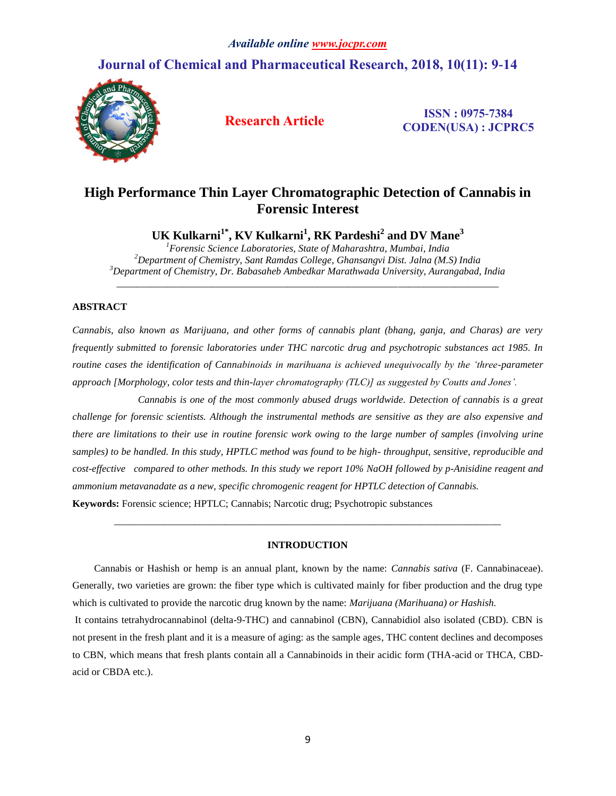# **Journal of Chemical and Pharmaceutical Research, 2018, 10(11): 9-14**



**Research Article ISSN : 0975-7384 CODEN(USA) : JCPRC5**

# **High Performance Thin Layer Chromatographic Detection of Cannabis in Forensic Interest**

**UK Kulkarni1\* , KV Kulkarni<sup>1</sup> , RK Pardeshi<sup>2</sup> and DV Mane<sup>3</sup>**

*<sup>1</sup>Forensic Science Laboratories, State of Maharashtra, Mumbai, India <sup>2</sup>Department of Chemistry, Sant Ramdas College, Ghansangvi Dist. Jalna (M.S) India <sup>3</sup>Department of Chemistry, Dr. Babasaheb Ambedkar Marathwada University, Aurangabad, India* 

\_\_\_\_\_\_\_\_\_\_\_\_\_\_\_\_\_\_\_\_\_\_\_\_\_\_\_\_\_\_\_\_\_\_\_\_\_\_\_\_\_\_\_\_\_\_\_\_\_\_\_\_\_\_\_\_\_\_\_\_\_\_\_\_\_\_\_\_\_\_\_\_\_\_\_\_

# **ABSTRACT**

*Cannabis, also known as Marijuana, and other forms of cannabis plant (bhang, ganja, and Charas) are very frequently submitted to forensic laboratories under THC narcotic drug and psychotropic substances act 1985. In routine cases the identification of Cannabinoids in marihuana is achieved unequivocally by the 'three-parameter approach [Morphology, color tests and thin-layer chromatography (TLC)] as suggested by Coutts and Jones'.* 

 *Cannabis is one of the most commonly abused drugs worldwide. Detection of cannabis is a great challenge for forensic scientists. Although the instrumental methods are sensitive as they are also expensive and there are limitations to their use in routine forensic work owing to the large number of samples (involving urine samples) to be handled. In this study, HPTLC method was found to be high- throughput, sensitive, reproducible and cost-effective compared to other methods. In this study we report 10% NaOH followed by p-Anisidine reagent and ammonium metavanadate as a new, specific chromogenic reagent for HPTLC detection of Cannabis.*

**Keywords:** Forensic science; HPTLC; Cannabis; Narcotic drug; Psychotropic substances

# **INTRODUCTION**

*\_\_\_\_\_\_\_\_\_\_\_\_\_\_\_\_\_\_\_\_\_\_\_\_\_\_\_\_\_\_\_\_\_\_\_\_\_\_\_\_\_\_\_\_\_\_\_\_\_\_\_\_\_\_\_\_\_\_\_\_\_\_\_\_\_\_\_\_\_\_\_\_\_\_\_\_\_*

Cannabis or Hashish or hemp is an annual plant, known by the name: *Cannabis sativa* (F. Cannabinaceae). Generally, two varieties are grown: the fiber type which is cultivated mainly for fiber production and the drug type which is cultivated to provide the narcotic drug known by the name: *Marijuana (Marihuana) or Hashish.*

It contains tetrahydrocannabinol (delta-9-THC) and cannabinol (CBN), Cannabidiol also isolated (CBD). CBN is not present in the fresh plant and it is a measure of aging: as the sample ages, THC content declines and decomposes to CBN, which means that fresh plants contain all a Cannabinoids in their acidic form (THA-acid or THCA, CBDacid or CBDA etc.).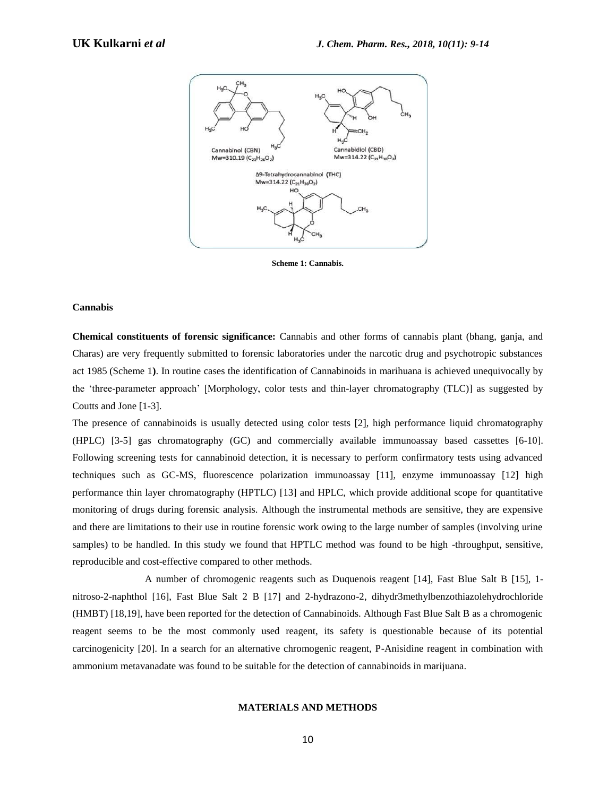

**Scheme 1: Cannabis.**

### **Cannabis**

**Chemical constituents of forensic significance:** Cannabis and other forms of cannabis plant (bhang, ganja, and Charas) are very frequently submitted to forensic laboratories under the narcotic drug and psychotropic substances act 1985 (Scheme 1**)**. In routine cases the identification of Cannabinoids in marihuana is achieved unequivocally by the 'three-parameter approach' [Morphology, color tests and thin-layer chromatography (TLC)] as suggested by Coutts and Jone [1-3].

The presence of cannabinoids is usually detected using color tests [2], high performance liquid chromatography (HPLC) [3-5] gas chromatography (GC) and commercially available immunoassay based cassettes [6-10]. Following screening tests for cannabinoid detection, it is necessary to perform confirmatory tests using advanced techniques such as GC-MS, fluorescence polarization immunoassay [11], enzyme immunoassay [12] high performance thin layer chromatography (HPTLC) [13] and HPLC, which provide additional scope for quantitative monitoring of drugs during forensic analysis. Although the instrumental methods are sensitive, they are expensive and there are limitations to their use in routine forensic work owing to the large number of samples (involving urine samples) to be handled. In this study we found that HPTLC method was found to be high -throughput, sensitive, reproducible and cost-effective compared to other methods.

A number of chromogenic reagents such as Duquenois reagent [14], Fast Blue Salt B [15], 1 nitroso-2-naphthol [16], Fast Blue Salt 2 B [17] and 2-hydrazono-2, dihydr3methylbenzothiazolehydrochloride (HMBT) [18,19], have been reported for the detection of Cannabinoids. Although Fast Blue Salt B as a chromogenic reagent seems to be the most commonly used reagent, its safety is questionable because of its potential carcinogenicity [20]. In a search for an alternative chromogenic reagent, P-Anisidine reagent in combination with ammonium metavanadate was found to be suitable for the detection of cannabinoids in marijuana.

### **MATERIALS AND METHODS**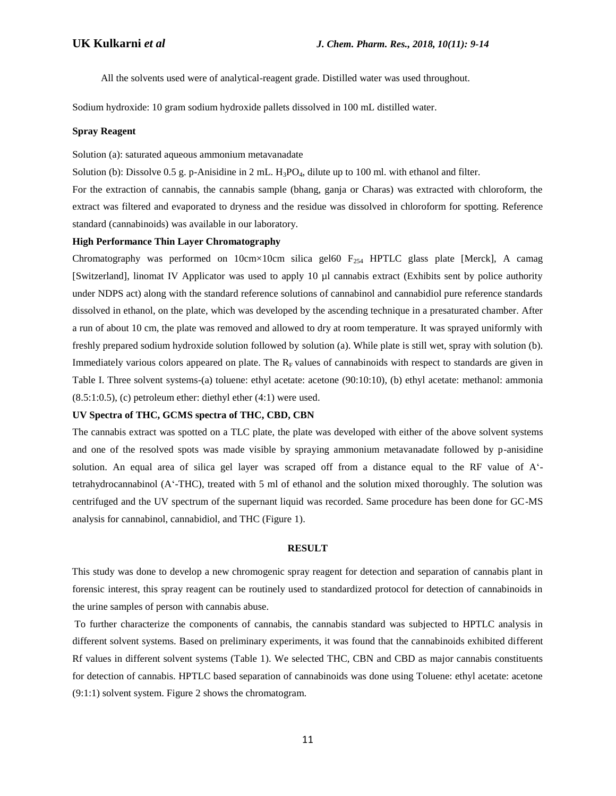All the solvents used were of analytical-reagent grade. Distilled water was used throughout.

Sodium hydroxide: 10 gram sodium hydroxide pallets dissolved in 100 mL distilled water.

## **Spray Reagent**

Solution (a): saturated aqueous ammonium metavanadate

Solution (b): Dissolve 0.5 g. p-Anisidine in 2 mL.  $H_3PO_4$ , dilute up to 100 ml. with ethanol and filter.

For the extraction of cannabis, the cannabis sample (bhang, ganja or Charas) was extracted with chloroform, the extract was filtered and evaporated to dryness and the residue was dissolved in chloroform for spotting. Reference standard (cannabinoids) was available in our laboratory.

# **High Performance Thin Layer Chromatography**

Chromatography was performed on  $10cm \times 10cm$  silica gel60  $F_{254}$  HPTLC glass plate [Merck], A camag [Switzerland], linomat IV Applicator was used to apply 10 µl cannabis extract (Exhibits sent by police authority under NDPS act) along with the standard reference solutions of cannabinol and cannabidiol pure reference standards dissolved in ethanol, on the plate, which was developed by the ascending technique in a presaturated chamber. After a run of about 10 cm, the plate was removed and allowed to dry at room temperature. It was sprayed uniformly with freshly prepared sodium hydroxide solution followed by solution (a). While plate is still wet, spray with solution (b). Immediately various colors appeared on plate. The  $R_F$  values of cannabinoids with respect to standards are given in Table I. Three solvent systems-(a) toluene: ethyl acetate: acetone (90:10:10), (b) ethyl acetate: methanol: ammonia  $(8.5:1:0.5)$ , (c) petroleum ether: diethyl ether  $(4:1)$  were used.

# **UV Spectra of THC, GCMS spectra of THC, CBD, CBN**

The cannabis extract was spotted on a TLC plate, the plate was developed with either of the above solvent systems and one of the resolved spots was made visible by spraying ammonium metavanadate followed by p-anisidine solution. An equal area of silica gel layer was scraped off from a distance equal to the RF value of A' tetrahydrocannabinol (A'-THC), treated with 5 ml of ethanol and the solution mixed thoroughly. The solution was centrifuged and the UV spectrum of the supernant liquid was recorded. Same procedure has been done for GC-MS analysis for cannabinol, cannabidiol, and THC (Figure 1).

#### **RESULT**

 This study was done to develop a new chromogenic spray reagent for detection and separation of cannabis plant in forensic interest, this spray reagent can be routinely used to standardized protocol for detection of cannabinoids in the urine samples of person with cannabis abuse.

 To further characterize the components of cannabis, the cannabis standard was subjected to HPTLC analysis in different solvent systems. Based on preliminary experiments, it was found that the cannabinoids exhibited different Rf values in different solvent systems (Table 1). We selected THC, CBN and CBD as major cannabis constituents for detection of cannabis. HPTLC based separation of cannabinoids was done using Toluene: ethyl acetate: acetone (9:1:1) solvent system. Figure 2 shows the chromatogram.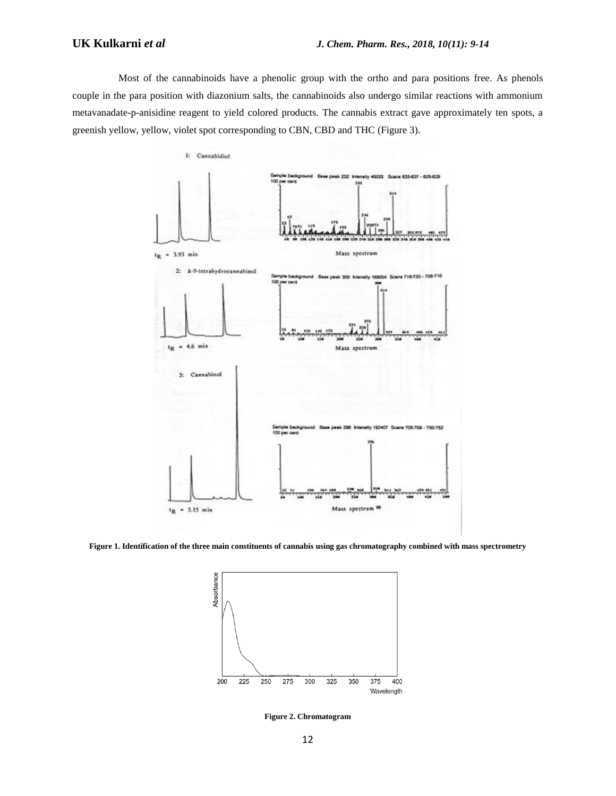Most of the cannabinoids have a phenolic group with the ortho and para positions free. As phenols couple in the para position with diazonium salts, the cannabinoids also undergo similar reactions with ammonium metavanadate-p-anisidine reagent to yield colored products. The cannabis extract gave approximately ten spots, a greenish yellow, yellow, violet spot corresponding to CBN, CBD and THC (Figure 3).



**Figure 1. Identification of the three main constituents of cannabis using gas chromatography combined with mass spectrometry**



**Figure 2. Chromatogram**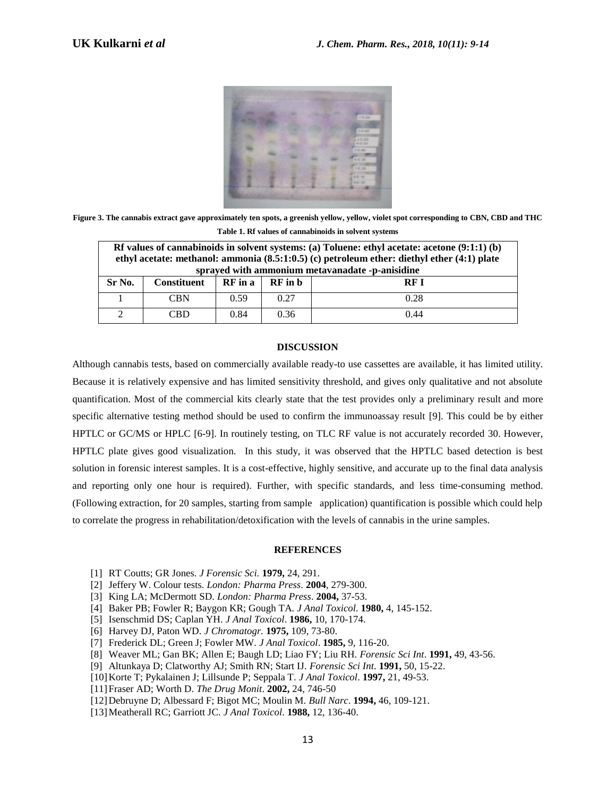

**Figure 3. The cannabis extract gave approximately ten spots, a greenish yellow, yellow, violet spot corresponding to CBN, CBD and THC Table 1. Rf values of cannabinoids in solvent systems**

| Rf values of cannabinoids in solvent systems: (a) Toluene: ethyl acetate: acetone $(9:1:1)$ (b)<br>ethyl acetate: methanol: ammonia $(8.5:1:0.5)$ (c) petroleum ether: diethyl ether $(4:1)$ plate<br>sprayed with ammonium metavanadate -p-anisidine |                    |         |         |            |
|-------------------------------------------------------------------------------------------------------------------------------------------------------------------------------------------------------------------------------------------------------|--------------------|---------|---------|------------|
| Sr No.                                                                                                                                                                                                                                                | <b>Constituent</b> | RF in a | RF in b | <b>RFI</b> |
|                                                                                                                                                                                                                                                       | <b>CBN</b>         | 0.59    | 0.27    | 0.28       |
|                                                                                                                                                                                                                                                       | CBD                | 0.84    | 0.36    | 0.44       |

## **DISCUSSION**

Although cannabis tests, based on commercially available ready-to use cassettes are available, it has limited utility. Because it is relatively expensive and has limited sensitivity threshold, and gives only qualitative and not absolute quantification. Most of the commercial kits clearly state that the test provides only a preliminary result and more specific alternative testing method should be used to confirm the immunoassay result [9]. This could be by either HPTLC or GC/MS or HPLC [6-9]. In routinely testing, on TLC RF value is not accurately recorded 30. However, HPTLC plate gives good visualization. In this study, it was observed that the HPTLC based detection is best solution in forensic interest samples. It is a cost-effective, highly sensitive, and accurate up to the final data analysis and reporting only one hour is required). Further, with specific standards, and less time-consuming method. (Following extraction, for 20 samples, starting from sample application) quantification is possible which could help to correlate the progress in rehabilitation/detoxification with the levels of cannabis in the urine samples.

#### **REFERENCES**

- [1] RT Coutts; GR Jones. *J Forensic Sci.* **1979,** 24, 291.
- [2] Jeffery W. Colour tests. *London: Pharma Press*. **2004**, 279-300.
- [3] King LA; McDermott SD. *London: Pharma Press*. **2004,** 37-53.
- [4] Baker PB; Fowler R; Baygon KR; Gough TA. *J Anal Toxicol*. **1980,** 4, 145-152.
- [5] Isenschmid DS; Caplan YH. *J Anal Toxicol*. **1986,** 10, 170-174.
- [6] Harvey DJ, Paton WD. *J Chromatogr.* **1975,** 109, 73-80.
- [7] Frederick DL; Green J; Fowler MW. *J Anal Toxicol*. **1985,** 9, 116-20.
- [8] Weaver ML; Gan BK; Allen E; Baugh LD; Liao FY; Liu RH. *Forensic Sci Int*. **1991,** 49, 43-56.
- [9] Altunkaya D; Clatworthy AJ; Smith RN; Start IJ. *Forensic Sci Int*. **1991,** 50, 15-22.
- [10]Korte T; Pykalainen J; Lillsunde P; Seppala T. *J Anal Toxicol*. **1997,** 21, 49-53.
- [11]Fraser AD; Worth D. *The Drug Monit*. **2002,** 24, 746-50
- [12]Debruyne D; Albessard F; Bigot MC; Moulin M. *Bull Narc*. **1994,** 46, 109-121.
- [13]Meatherall RC; Garriott JC. *J Anal Toxicol*. **1988,** 12, 136-40.